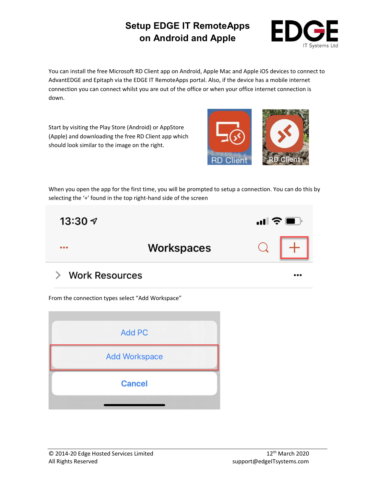

You can install the free Microsoft RD Client app on Android, Apple Mac and Apple iOS devices to connect to AdvantEDGE and Epitaph via the EDGE IT RemoteApps portal. Also, if the device has a mobile internet connection you can connect whilst you are out of the office or when your office internet connection is down.

Start by visiting the Play Store (Android) or AppStore (Apple) and downloading the free RD Client app which should look similar to the image on the right.



When you open the app for the first time, you will be prompted to setup a connection. You can do this by selecting the '+' found in the top right-hand side of the screen



#### **Work Resources** ゝ

From the connection types select "Add Workspace"

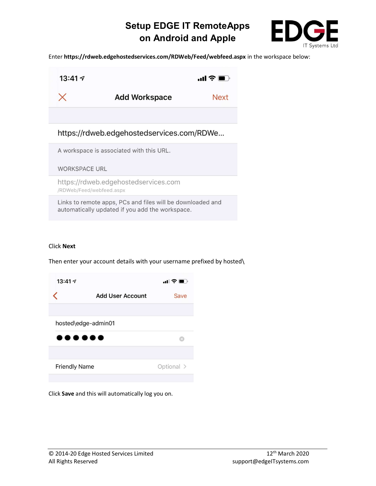

Enter https://rdweb.edgehostedservices.com/RDWeb/Feed/webfeed.aspx in the workspace below:



Links to remote apps, PCs and files will be downloaded and

automatically updated if you add the workspace.

### Click Next

Then enter your account details with your username prefixed by hosted\



Click Save and this will automatically log you on.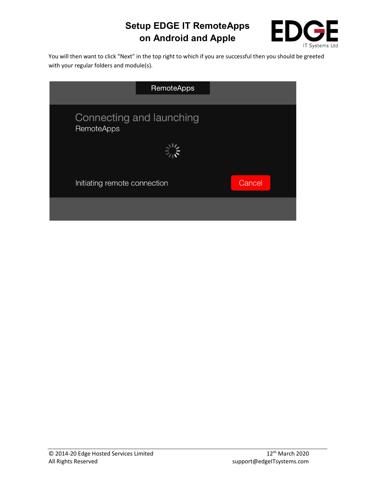

You will then want to click "Next" in the top right to which if you are successful then you should be greeted with your regular folders and module(s).

| <b>RemoteApps</b>                             |        |
|-----------------------------------------------|--------|
|                                               |        |
| Connecting and launching<br><b>RemoteApps</b> |        |
|                                               |        |
| Initiating remote connection                  | Cancel |
|                                               |        |